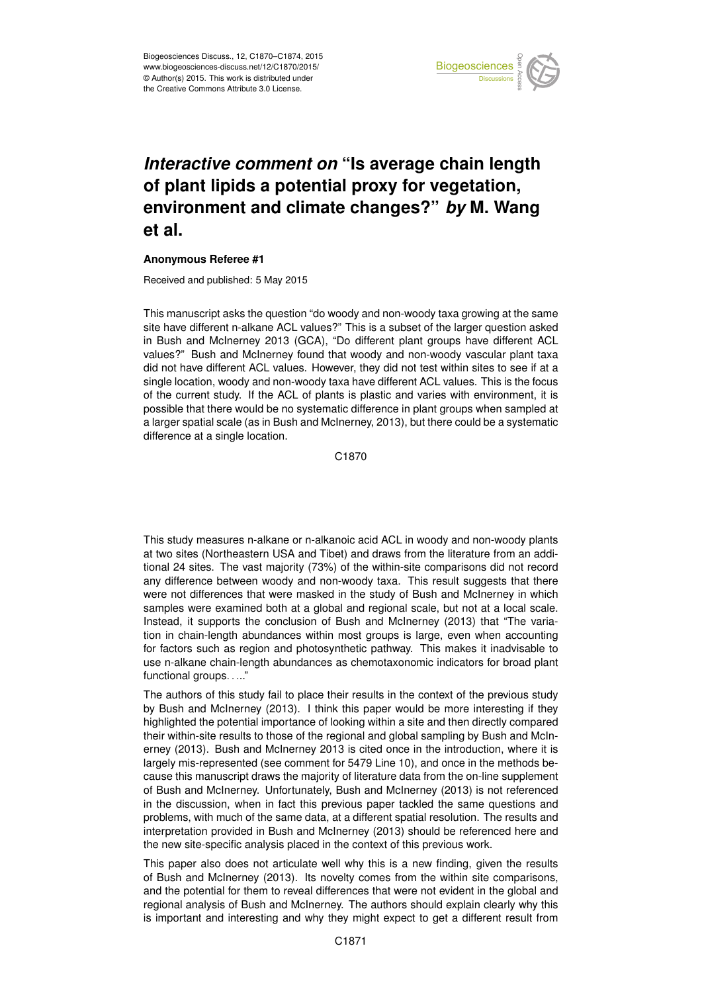

## *Interactive comment on* **"Is average chain length of plant lipids a potential proxy for vegetation, environment and climate changes?"** *by* **M. Wang et al.**

## **Anonymous Referee #1**

Received and published: 5 May 2015

This manuscript asks the question "do woody and non-woody taxa growing at the same site have different n-alkane ACL values?" This is a subset of the larger question asked in Bush and McInerney 2013 (GCA), "Do different plant groups have different ACL values?" Bush and McInerney found that woody and non-woody vascular plant taxa did not have different ACL values. However, they did not test within sites to see if at a single location, woody and non-woody taxa have different ACL values. This is the focus of the current study. If the ACL of plants is plastic and varies with environment, it is possible that there would be no systematic difference in plant groups when sampled at a larger spatial scale (as in Bush and McInerney, 2013), but there could be a systematic difference at a single location.

C1870

This study measures n-alkane or n-alkanoic acid ACL in woody and non-woody plants at two sites (Northeastern USA and Tibet) and draws from the literature from an additional 24 sites. The vast majority (73%) of the within-site comparisons did not record any difference between woody and non-woody taxa. This result suggests that there were not differences that were masked in the study of Bush and McInerney in which samples were examined both at a global and regional scale, but not at a local scale. Instead, it supports the conclusion of Bush and McInerney (2013) that "The variation in chain-length abundances within most groups is large, even when accounting for factors such as region and photosynthetic pathway. This makes it inadvisable to use n-alkane chain-length abundances as chemotaxonomic indicators for broad plant functional groups....."

The authors of this study fail to place their results in the context of the previous study by Bush and McInerney (2013). I think this paper would be more interesting if they highlighted the potential importance of looking within a site and then directly compared their within-site results to those of the regional and global sampling by Bush and McInerney (2013). Bush and McInerney 2013 is cited once in the introduction, where it is largely mis-represented (see comment for 5479 Line 10), and once in the methods because this manuscript draws the majority of literature data from the on-line supplement of Bush and McInerney. Unfortunately, Bush and McInerney (2013) is not referenced in the discussion, when in fact this previous paper tackled the same questions and problems, with much of the same data, at a different spatial resolution. The results and interpretation provided in Bush and McInerney (2013) should be referenced here and the new site-specific analysis placed in the context of this previous work.

This paper also does not articulate well why this is a new finding, given the results of Bush and McInerney (2013). Its novelty comes from the within site comparisons, and the potential for them to reveal differences that were not evident in the global and regional analysis of Bush and McInerney. The authors should explain clearly why this is important and interesting and why they might expect to get a different result from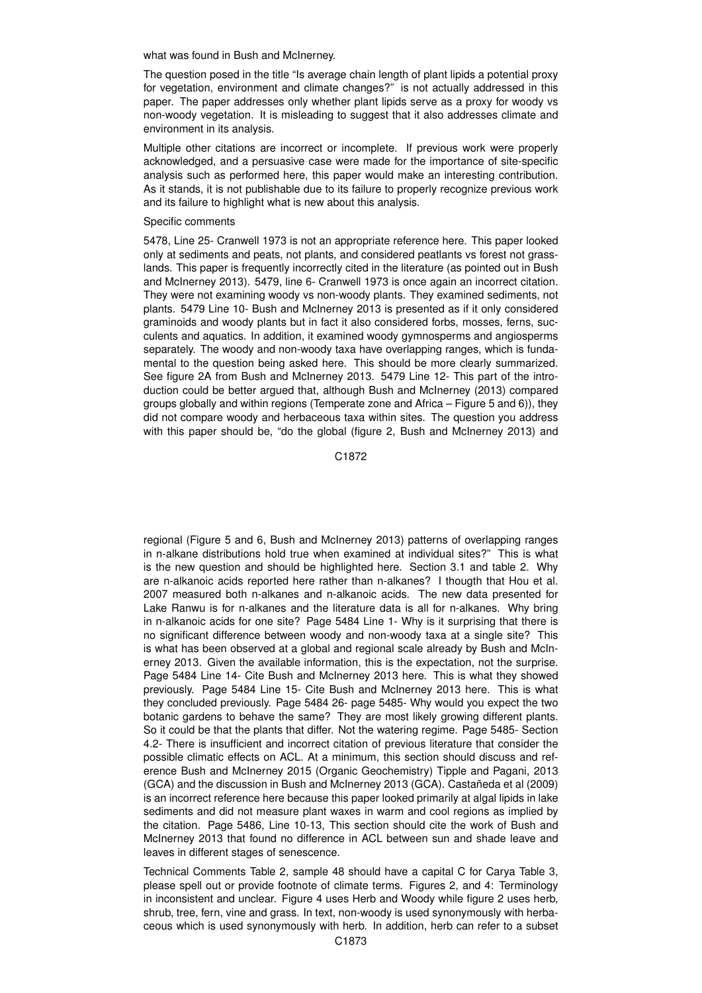what was found in Bush and McInerney.

The question posed in the title "Is average chain length of plant lipids a potential proxy for vegetation, environment and climate changes?" is not actually addressed in this paper. The paper addresses only whether plant lipids serve as a proxy for woody vs non-woody vegetation. It is misleading to suggest that it also addresses climate and environment in its analysis.

Multiple other citations are incorrect or incomplete. If previous work were properly acknowledged, and a persuasive case were made for the importance of site-specific analysis such as performed here, this paper would make an interesting contribution. As it stands, it is not publishable due to its failure to properly recognize previous work and its failure to highlight what is new about this analysis.

## Specific comments

5478, Line 25- Cranwell 1973 is not an appropriate reference here. This paper looked only at sediments and peats, not plants, and considered peatlants vs forest not grasslands. This paper is frequently incorrectly cited in the literature (as pointed out in Bush and McInerney 2013). 5479, line 6- Cranwell 1973 is once again an incorrect citation. They were not examining woody vs non-woody plants. They examined sediments, not plants. 5479 Line 10- Bush and McInerney 2013 is presented as if it only considered graminoids and woody plants but in fact it also considered forbs, mosses, ferns, succulents and aquatics. In addition, it examined woody gymnosperms and angiosperms separately. The woody and non-woody taxa have overlapping ranges, which is fundamental to the question being asked here. This should be more clearly summarized. See figure 2A from Bush and McInerney 2013. 5479 Line 12- This part of the introduction could be better argued that, although Bush and McInerney (2013) compared groups globally and within regions (Temperate zone and Africa – Figure 5 and 6)), they did not compare woody and herbaceous taxa within sites. The question you address with this paper should be, "do the global (figure 2, Bush and McInerney 2013) and

C1872

regional (Figure 5 and 6, Bush and McInerney 2013) patterns of overlapping ranges in n-alkane distributions hold true when examined at individual sites?" This is what is the new question and should be highlighted here. Section 3.1 and table 2. Why are n-alkanoic acids reported here rather than n-alkanes? I thougth that Hou et al. 2007 measured both n-alkanes and n-alkanoic acids. The new data presented for Lake Ranwu is for n-alkanes and the literature data is all for n-alkanes. Why bring in n-alkanoic acids for one site? Page 5484 Line 1- Why is it surprising that there is no significant difference between woody and non-woody taxa at a single site? This is what has been observed at a global and regional scale already by Bush and McInerney 2013. Given the available information, this is the expectation, not the surprise. Page 5484 Line 14- Cite Bush and McInerney 2013 here. This is what they showed previously. Page 5484 Line 15- Cite Bush and McInerney 2013 here. This is what they concluded previously. Page 5484 26- page 5485- Why would you expect the two botanic gardens to behave the same? They are most likely growing different plants. So it could be that the plants that differ. Not the watering regime. Page 5485- Section 4.2- There is insufficient and incorrect citation of previous literature that consider the possible climatic effects on ACL. At a minimum, this section should discuss and reference Bush and McInerney 2015 (Organic Geochemistry) Tipple and Pagani, 2013 (GCA) and the discussion in Bush and McInerney 2013 (GCA). Castañeda et al (2009) is an incorrect reference here because this paper looked primarily at algal lipids in lake sediments and did not measure plant waxes in warm and cool regions as implied by the citation. Page 5486, Line 10-13, This section should cite the work of Bush and McInerney 2013 that found no difference in ACL between sun and shade leave and leaves in different stages of senescence.

Technical Comments Table 2, sample 48 should have a capital C for Carya Table 3, please spell out or provide footnote of climate terms. Figures 2, and 4: Terminology in inconsistent and unclear. Figure 4 uses Herb and Woody while figure 2 uses herb, shrub, tree, fern, vine and grass. In text, non-woody is used synonymously with herbaceous which is used synonymously with herb. In addition, herb can refer to a subset